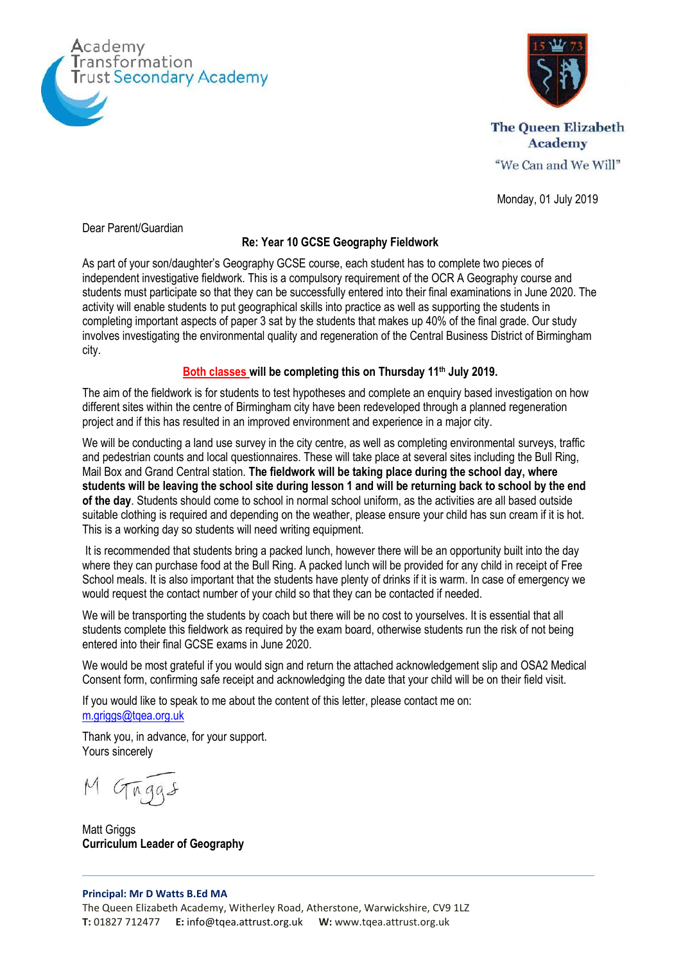



**The Queen Elizabeth Academy** "We Can and We Will"

Monday, 01 July 2019

Dear Parent/Guardian

## **Re: Year 10 GCSE Geography Fieldwork**

As part of your son/daughter's Geography GCSE course, each student has to complete two pieces of independent investigative fieldwork. This is a compulsory requirement of the OCR A Geography course and students must participate so that they can be successfully entered into their final examinations in June 2020. The activity will enable students to put geographical skills into practice as well as supporting the students in completing important aspects of paper 3 sat by the students that makes up 40% of the final grade. Our study involves investigating the environmental quality and regeneration of the Central Business District of Birmingham city.

## **Both classes will be completing this on Thursday 11th July 2019.**

The aim of the fieldwork is for students to test hypotheses and complete an enquiry based investigation on how different sites within the centre of Birmingham city have been redeveloped through a planned regeneration project and if this has resulted in an improved environment and experience in a major city.

We will be conducting a land use survey in the city centre, as well as completing environmental surveys, traffic and pedestrian counts and local questionnaires. These will take place at several sites including the Bull Ring, Mail Box and Grand Central station. **The fieldwork will be taking place during the school day, where students will be leaving the school site during lesson 1 and will be returning back to school by the end of the day**. Students should come to school in normal school uniform, as the activities are all based outside suitable clothing is required and depending on the weather, please ensure your child has sun cream if it is hot. This is a working day so students will need writing equipment.

It is recommended that students bring a packed lunch, however there will be an opportunity built into the day where they can purchase food at the Bull Ring. A packed lunch will be provided for any child in receipt of Free School meals. It is also important that the students have plenty of drinks if it is warm. In case of emergency we would request the contact number of your child so that they can be contacted if needed.

We will be transporting the students by coach but there will be no cost to yourselves. It is essential that all students complete this fieldwork as required by the exam board, otherwise students run the risk of not being entered into their final GCSE exams in June 2020.

We would be most grateful if you would sign and return the attached acknowledgement slip and OSA2 Medical Consent form, confirming safe receipt and acknowledging the date that your child will be on their field visit.

If you would like to speak to me about the content of this letter, please contact me on: [m.griggs@tqea.org.uk](mailto:m.griggs@tqea.org.uk)

Thank you, in advance, for your support. Yours sincerely

M Gaggs

Matt Griggs **Curriculum Leader of Geography**